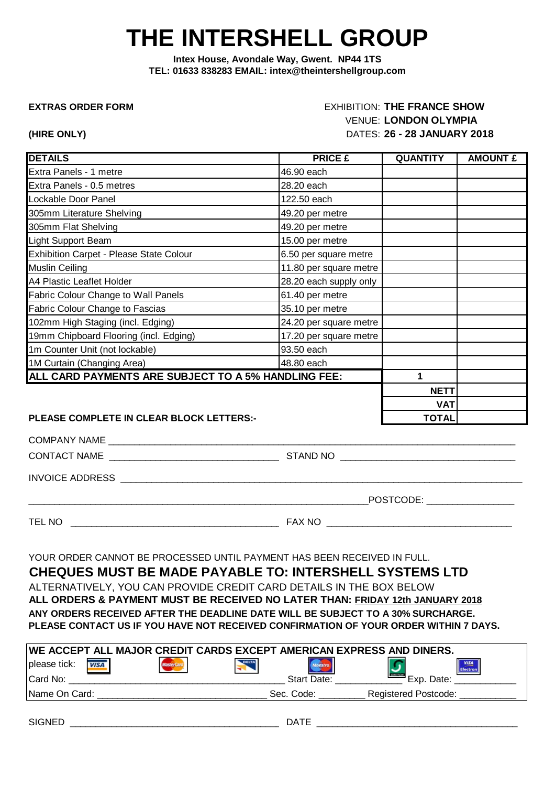# **THE INTERSHELL GROUP**

**Intex House, Avondale Way, Gwent. NP44 1TS TEL: 01633 838283 EMAIL: intex@theintershellgroup.com**

### **EXTRAS ORDER FORM** EXHIBITION: THE FRANCE SHOW VENUE: **LONDON OLYMPIA (HIRE ONLY)** DATES: **26 - 28 JANUARY 2018**

POSTCODE:

| <b>DETAILS</b>                                      | <b>PRICE £</b>         | <b>QUANTITY</b> | <b>AMOUNT £</b> |
|-----------------------------------------------------|------------------------|-----------------|-----------------|
| Extra Panels - 1 metre                              | 46.90 each             |                 |                 |
| Extra Panels - 0.5 metres                           | 28.20 each             |                 |                 |
| Lockable Door Panel                                 | 122.50 each            |                 |                 |
| 305mm Literature Shelving                           | 49.20 per metre        |                 |                 |
| 305mm Flat Shelving                                 | 49.20 per metre        |                 |                 |
| Light Support Beam                                  | 15.00 per metre        |                 |                 |
| Exhibition Carpet - Please State Colour             | 6.50 per square metre  |                 |                 |
| <b>Muslin Ceiling</b>                               | 11.80 per square metre |                 |                 |
| A4 Plastic Leaflet Holder                           | 28.20 each supply only |                 |                 |
| Fabric Colour Change to Wall Panels                 | 61.40 per metre        |                 |                 |
| Fabric Colour Change to Fascias                     | 35.10 per metre        |                 |                 |
| 102mm High Staging (incl. Edging)                   | 24.20 per square metre |                 |                 |
| 19mm Chipboard Flooring (incl. Edging)              | 17.20 per square metre |                 |                 |
| 1m Counter Unit (not lockable)                      | 93.50 each             |                 |                 |
| 1M Curtain (Changing Area)                          | 48.80 each             |                 |                 |
| ALL CARD PAYMENTS ARE SUBJECT TO A 5% HANDLING FEE: | 1                      |                 |                 |
|                                                     |                        | <b>NETT</b>     |                 |
|                                                     |                        | <b>VAT</b>      |                 |
| PLEASE COMPLETE IN CLEAR BLOCK LETTERS:-            |                        | <b>TOTAL</b>    |                 |

COMPANY NAME \_\_\_\_\_\_\_\_\_\_\_\_\_\_\_\_\_\_\_\_\_\_\_\_\_\_\_\_\_\_\_\_\_\_\_\_\_\_\_\_\_\_\_\_\_\_\_\_\_\_\_\_\_\_\_\_\_\_\_\_\_\_\_\_\_\_\_\_\_\_\_\_\_\_\_\_\_\_\_

CONTACT NAME \_\_\_\_\_\_\_\_\_\_\_\_\_\_\_\_\_\_\_\_\_\_\_\_\_\_\_\_\_\_\_\_\_\_\_\_\_ STAND NO \_\_\_\_\_\_\_\_\_\_\_\_\_\_\_\_\_\_\_\_\_\_\_\_\_\_\_\_\_\_\_\_\_\_ \_

INVOICE ADDRESS **with a set of the set of the set of the set of the set of the set of the set of the set of the set of the set of the set of the set of the set of the set of the set of the set of the set of the set of the** 

TEL NO \_\_\_\_\_\_\_\_\_\_\_\_\_\_\_\_\_\_\_\_\_\_\_\_\_\_\_\_\_\_\_\_\_\_\_\_\_\_\_\_\_\_ FAX NO \_\_\_\_\_\_\_\_\_\_\_\_\_\_\_\_\_\_\_\_\_\_\_\_\_\_\_\_\_\_\_\_\_\_\_\_

YOUR ORDER CANNOT BE PROCESSED UNTIL PAYMENT HAS BEEN RECEIVED IN FULL.

**CHEQUES MUST BE MADE PAYABLE TO: INTERSHELL SYSTEMS LTD** ALTERNATIVELY, YOU CAN PROVIDE CREDIT CARD DETAILS IN THE BOX BELOW **ALL ORDERS & PAYMENT MUST BE RECEIVED NO LATER THAN: FRIDAY 12th JANUARY 2018 ANY ORDERS RECEIVED AFTER THE DEADLINE DATE WILL BE SUBJECT TO A 30% SURCHARGE. PLEASE CONTACT US IF YOU HAVE NOT RECEIVED CONFIRMATION OF YOUR ORDER WITHIN 7 DAYS.**

|               |             |                 | <u>IWE ACCEPT ALL MAJOR CREDIT CARDS EXCEPT AMERICAN EXPRESS AND DINERS.</u> |                    |                             |            |                         |
|---------------|-------------|-----------------|------------------------------------------------------------------------------|--------------------|-----------------------------|------------|-------------------------|
| please tick:  | <b>VISA</b> | <b>MasterCo</b> | <b>DELTA</b>                                                                 | <b>faestro</b>     |                             |            | <b>VISA</b><br>Electron |
| Card No:      |             |                 |                                                                              | <b>Start Date:</b> |                             | Exp. Date: |                         |
| Name On Card: |             |                 |                                                                              | Sec. Code:         | <b>Registered Postcode:</b> |            |                         |
|               |             |                 |                                                                              |                    |                             |            |                         |

| <b>CICNIEF</b><br><b>SILEIVE</b><br>----- | _ _ _ _<br>``<br>. |
|-------------------------------------------|--------------------|
|                                           |                    |